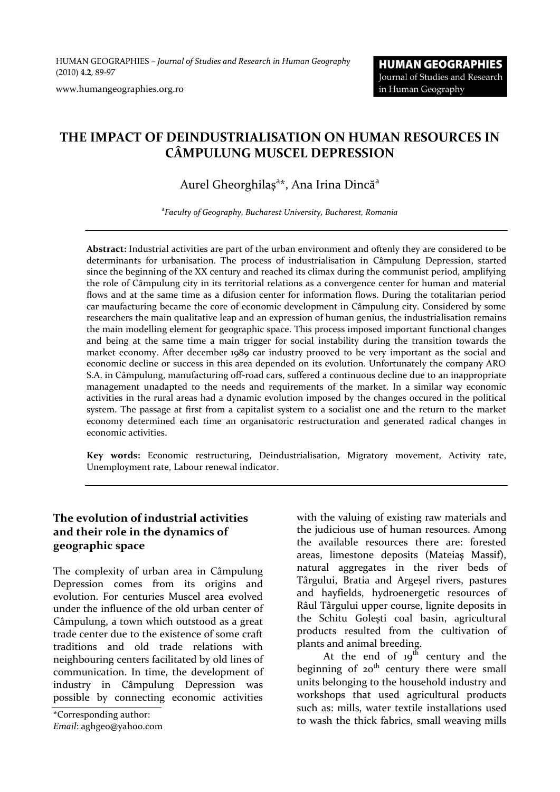HUMAN GEOGRAPHIES *– Journal of Studies and Research in Human Geography* (2010) **4.2**, 89-97

www.humangeographies.org.ro

# **THE IMPACT OF DEINDUSTRIALISATION ON HUMAN RESOURCES IN CÂMPULUNG MUSCEL DEPRESSION**

# Aurel Gheorghilaș<sup>a\*</sup>, Ana Irina Dincă<sup>a</sup>

a *Faculty of Geography, Bucharest University, Bucharest, Romania*

**Abstract:** Industrial activities are part of the urban environment and oftenly they are considered to be determinants for urbanisation. The process of industrialisation in Câmpulung Depression, started since the beginning of the XX century and reached its climax during the communist period, amplifying the role of Câmpulung city in its territorial relations as a convergence center for human and material flows and at the same time as a difusion center for information flows. During the totalitarian period car maufacturing became the core of economic development in Câmpulung city. Considered by some researchers the main qualitative leap and an expression of human genius, the industrialisation remains the main modelling element for geographic space. This process imposed important functional changes and being at the same time a main trigger for social instability during the transition towards the market economy. After december 1989 car industry prooved to be very important as the social and economic decline or success in this area depended on its evolution. Unfortunately the company ARO S.A. in Câmpulung, manufacturing off-road cars, suffered a continuous decline due to an inappropriate management unadapted to the needs and requirements of the market. In a similar way economic activities in the rural areas had a dynamic evolution imposed by the changes occured in the political system. The passage at first from a capitalist system to a socialist one and the return to the market economy determined each time an organisatoric restructuration and generated radical changes in economic activities.

**Key words:** Economic restructuring, Deindustrialisation, Migratory movement, Activity rate, Unemployment rate, Labour renewal indicator.

#### **The evolution of industrial activities and their role in the dynamics of geographic space**

The complexity of urban area in Câmpulung Depression comes from its origins and evolution. For centuries Muscel area evolved under the influence of the old urban center of Câmpulung, a town which outstood as a great trade center due to the existence of some craft traditions and old trade relations with neighbouring centers facilitated by old lines of communication. In time, the development of industry in Câmpulung Depression was possible by connecting economic activities

*Email*: aghgeo@yahoo.com

with the valuing of existing raw materials and the judicious use of human resources. Among the available resources there are: forested areas, limestone deposits (Mateiaş Massif), natural aggregates in the river beds of Târgului, Bratia and Argeşel rivers, pastures and hayfields, hydroenergetic resources of Râul Târgului upper course, lignite deposits in the Schitu Goleşti coal basin, agricultural products resulted from the cultivation of plants and animal breeding.

At the end of  $19<sup>th</sup>$  century and the beginning of  $20<sup>th</sup>$  century there were small units belonging to the household industry and workshops that used agricultural products such as: mills, water textile installations used \*Corresponding author:<br>to wash the thick fabrics, small weaving mills  $\overline{r}$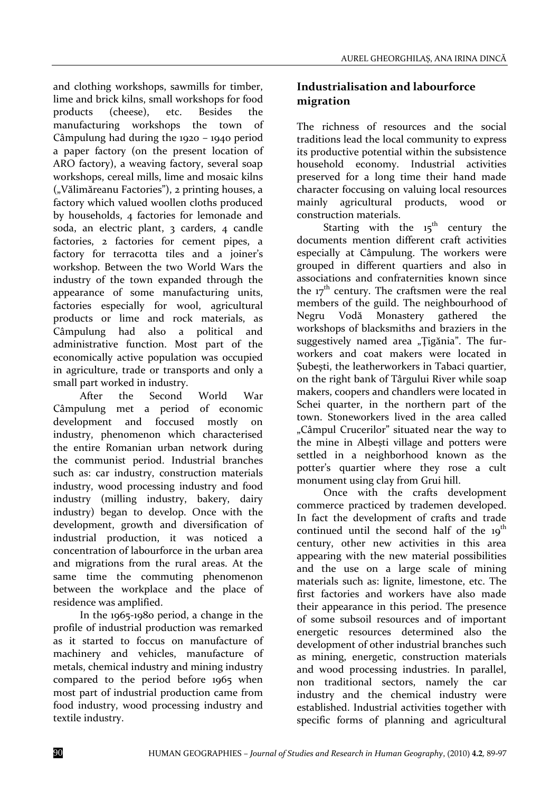and clothing workshops, sawmills for timber, lime and brick kilns, small workshops for food products (cheese), etc. Besides the manufacturing workshops the town of Câmpulung had during the 1920 – 1940 period a paper factory (on the present location of ARO factory), a weaving factory, several soap workshops, cereal mills, lime and mosaic kilns ("Vălimăreanu Factories"), 2 printing houses, a factory which valued woollen cloths produced by households, 4 factories for lemonade and soda, an electric plant, 3 carders, 4 candle factories, 2 factories for cement pipes, a factory for terracotta tiles and a joiner's workshop. Between the two World Wars the industry of the town expanded through the appearance of some manufacturing units, factories especially for wool, agricultural products or lime and rock materials, as Câmpulung had also a political and administrative function. Most part of the economically active population was occupied in agriculture, trade or transports and only a small part worked in industry.

After the Second World War Câmpulung met a period of economic development and foccused mostly on industry, phenomenon which characterised the entire Romanian urban network during the communist period. Industrial branches such as: car industry, construction materials industry, wood processing industry and food industry (milling industry, bakery, dairy industry) began to develop. Once with the development, growth and diversification of industrial production, it was noticed a concentration of labourforce in the urban area and migrations from the rural areas. At the same time the commuting phenomenon between the workplace and the place of residence was amplified.

In the 1965-1980 period, a change in the profile of industrial production was remarked as it started to foccus on manufacture of machinery and vehicles, manufacture of metals, chemical industry and mining industry compared to the period before 1965 when most part of industrial production came from food industry, wood processing industry and textile industry.

### **Industrialisation and labourforce migration**

The richness of resources and the social traditions lead the local community to express its productive potential within the subsistence household economy. Industrial activities preserved for a long time their hand made character foccusing on valuing local resources mainly agricultural products, wood or construction materials.

Starting with the  $15<sup>th</sup>$  century the documents mention different craft activities especially at Câmpulung. The workers were grouped in different quartiers and also in associations and confraternities known since the  $17<sup>th</sup>$  century. The craftsmen were the real members of the guild. The neighbourhood of Negru Vodă Monastery gathered the workshops of blacksmiths and braziers in the suggestively named area "Țigănia". The furworkers and coat makers were located in Subesti, the leatherworkers in Tabaci quartier, on the right bank of Târgului River while soap makers, coopers and chandlers were located in Schei quarter, in the northern part of the town. Stoneworkers lived in the area called "Câmpul Crucerilor" situated near the way to the mine in Albeşti village and potters were settled in a neighborhood known as the potter's quartier where they rose a cult monument using clay from Grui hill.

Once with the crafts development commerce practiced by trademen developed. In fact the development of crafts and trade continued until the second half of the  $19<sup>th</sup>$ century, other new activities in this area appearing with the new material possibilities and the use on a large scale of mining materials such as: lignite, limestone, etc. The first factories and workers have also made their appearance in this period. The presence of some subsoil resources and of important energetic resources determined also the development of other industrial branches such as mining, energetic, construction materials and wood processing industries. In parallel, non traditional sectors, namely the car industry and the chemical industry were established. Industrial activities together with specific forms of planning and agricultural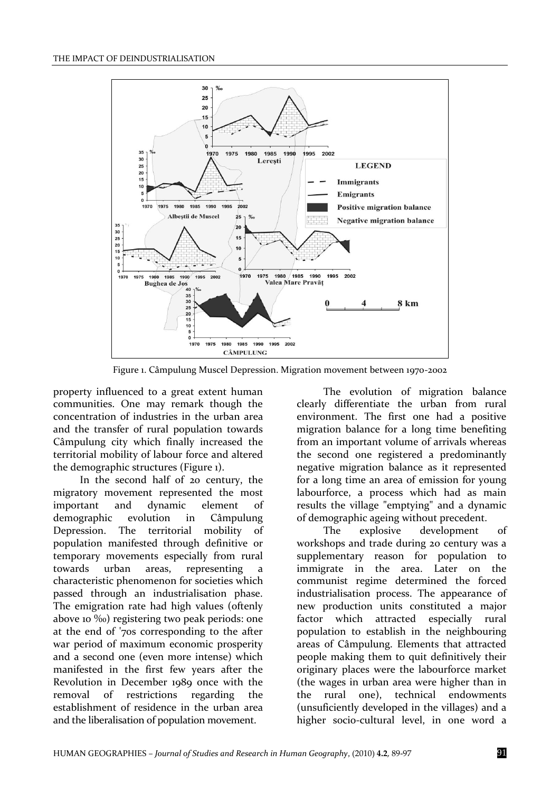

Figure 1. Câmpulung Muscel Depression. Migration movement between 1970-2002

property influenced to a great extent human communities. One may remark though the concentration of industries in the urban area and the transfer of rural population towards Câmpulung city which finally increased the territorial mobility of labour force and altered the demographic structures (Figure 1).

In the second half of 20 century, the migratory movement represented the most important and dynamic element of demographic evolution in Câmpulung Depression. The territorial mobility of population manifested through definitive or temporary movements especially from rural towards urban areas, representing a characteristic phenomenon for societies which passed through an industrialisation phase. The emigration rate had high values (oftenly above 10 ‰) registering two peak periods: one at the end of '70s corresponding to the after war period of maximum economic prosperity and a second one (even more intense) which manifested in the first few years after the Revolution in December 1989 once with the removal of restrictions regarding the establishment of residence in the urban area and the liberalisation of population movement.

The evolution of migration balance clearly differentiate the urban from rural environment. The first one had a positive migration balance for a long time benefiting from an important volume of arrivals whereas the second one registered a predominantly negative migration balance as it represented for a long time an area of emission for young labourforce, a process which had as main results the village "emptying" and a dynamic of demographic ageing without precedent.

The explosive development of workshops and trade during 20 century was a supplementary reason for population to immigrate in the area. Later on the communist regime determined the forced industrialisation process. The appearance of new production units constituted a major factor which attracted especially rural population to establish in the neighbouring areas of Câmpulung. Elements that attracted people making them to quit definitively their originary places were the labourforce market (the wages in urban area were higher than in the rural one), technical endowments (unsuficiently developed in the villages) and a higher socio-cultural level, in one word a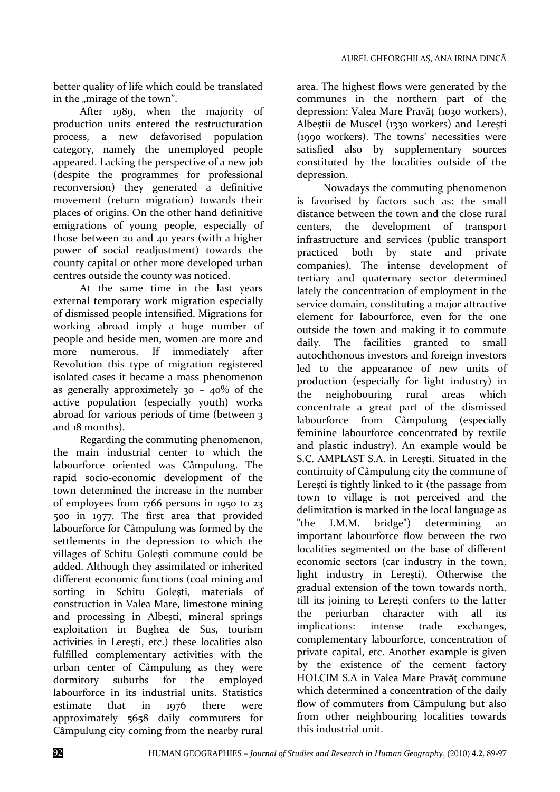better quality of life which could be translated in the "mirage of the town".

After 1989, when the majority of production units entered the restructuration process, a new defavorised population category, namely the unemployed people appeared. Lacking the perspective of a new job (despite the programmes for professional reconversion) they generated a definitive movement (return migration) towards their places of origins. On the other hand definitive emigrations of young people, especially of those between 20 and 40 years (with a higher power of social readjustment) towards the county capital or other more developed urban centres outside the county was noticed.

At the same time in the last years external temporary work migration especially of dismissed people intensified. Migrations for working abroad imply a huge number of people and beside men, women are more and more numerous. If immediately after Revolution this type of migration registered isolated cases it became a mass phenomenon as generally approximetely  $30 - 40\%$  of the active population (especially youth) works abroad for various periods of time (between 3 and 18 months).

Regarding the commuting phenomenon, the main industrial center to which the labourforce oriented was Câmpulung. The rapid socio-economic development of the town determined the increase in the number of employees from 1766 persons in 1950 to 23 500 in 1977. The first area that provided labourforce for Câmpulung was formed by the settlements in the depression to which the villages of Schitu Goleşti commune could be added. Although they assimilated or inherited different economic functions (coal mining and sorting in Schitu Golesti, materials of construction in Valea Mare, limestone mining and processing in Albeşti, mineral springs exploitation in Bughea de Sus, tourism activities in Lereşti, etc.) these localities also fulfilled complementary activities with the urban center of Câmpulung as they were dormitory suburbs for the employed labourforce in its industrial units. Statistics estimate that in 1976 there were approximately 5658 daily commuters for Câmpulung city coming from the nearby rural

area. The highest flows were generated by the communes in the northern part of the depression: Valea Mare Pravăt (1030 workers), Albeştii de Muscel (1330 workers) and Lereşti (1990 workers). The towns' necessities were satisfied also by supplementary sources constituted by the localities outside of the depression.

Nowadays the commuting phenomenon is favorised by factors such as: the small distance between the town and the close rural centers, the development of transport infrastructure and services (public transport practiced both by state and private companies). The intense development of tertiary and quaternary sector determined lately the concentration of employment in the service domain, constituting a major attractive element for labourforce, even for the one outside the town and making it to commute daily. The facilities granted to small autochthonous investors and foreign investors led to the appearance of new units of production (especially for light industry) in the neighobouring rural areas which concentrate a great part of the dismissed labourforce from Câmpulung (especially feminine labourforce concentrated by textile and plastic industry). An example would be S.C. AMPLAST S.A. in Lereşti. Situated in the continuity of Câmpulung city the commune of Lereşti is tightly linked to it (the passage from town to village is not perceived and the delimitation is marked in the local language as "the I.M.M. bridge") determining an important labourforce flow between the two localities segmented on the base of different economic sectors (car industry in the town, light industry in Lereşti). Otherwise the gradual extension of the town towards north, till its joining to Lereşti confers to the latter the periurban character with all its implications: intense trade exchanges, complementary labourforce, concentration of private capital, etc. Another example is given by the existence of the cement factory HOLCIM S.A in Valea Mare Pravăt commune which determined a concentration of the daily flow of commuters from Câmpulung but also from other neighbouring localities towards this industrial unit.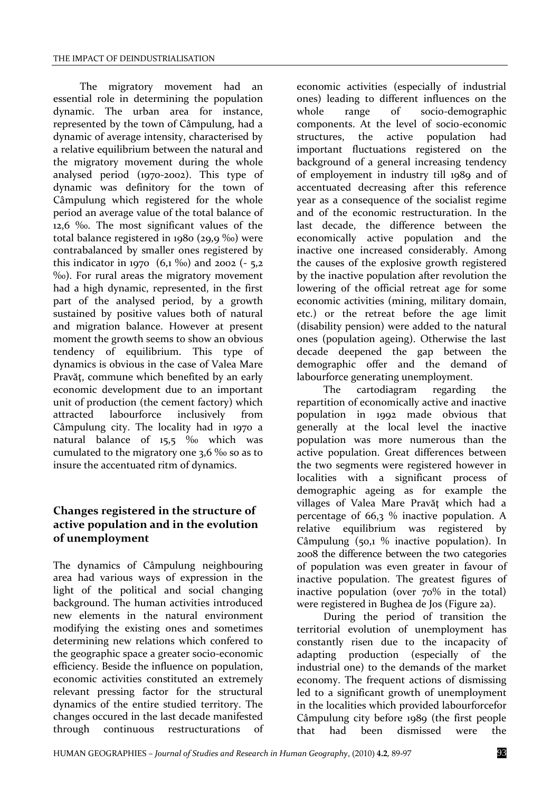The migratory movement had an essential role in determining the population dynamic. The urban area for instance, represented by the town of Câmpulung, had a dynamic of average intensity, characterised by a relative equilibrium between the natural and the migratory movement during the whole analysed period (1970-2002). This type of dynamic was definitory for the town of Câmpulung which registered for the whole period an average value of the total balance of 12,6 ‰. The most significant values of the total balance registered in 1980 (29,9 ‰) were contrabalanced by smaller ones registered by this indicator in 1970  $(6,1\%$ ) and 2002  $(-5,2)$ ‰). For rural areas the migratory movement had a high dynamic, represented, in the first part of the analysed period, by a growth sustained by positive values both of natural and migration balance. However at present moment the growth seems to show an obvious tendency of equilibrium. This type of dynamics is obvious in the case of Valea Mare Pravăt, commune which benefited by an early economic development due to an important unit of production (the cement factory) which attracted labourforce inclusively from Câmpulung city. The locality had in 1970 a natural balance of 15,5 ‰ which was cumulated to the migratory one 3,6 ‰ so as to insure the accentuated ritm of dynamics.

## **Changes registered in the structure of active population and in the evolution of unemployment**

The dynamics of Câmpulung neighbouring area had various ways of expression in the light of the political and social changing background. The human activities introduced new elements in the natural environment modifying the existing ones and sometimes determining new relations which confered to the geographic space a greater socio-economic efficiency. Beside the influence on population, economic activities constituted an extremely relevant pressing factor for the structural dynamics of the entire studied territory. The changes occured in the last decade manifested through continuous restructurations

economic activities (especially of industrial ones) leading to different influences on the whole range of socio-demographic components. At the level of socio-economic structures, the active population had important fluctuations registered on the background of a general increasing tendency of employement in industry till 1989 and of accentuated decreasing after this reference year as a consequence of the socialist regime and of the economic restructuration. In the last decade, the difference between the economically active population and the inactive one increased considerably. Among the causes of the explosive growth registered by the inactive population after revolution the lowering of the official retreat age for some economic activities (mining, military domain, etc.) or the retreat before the age limit (disability pension) were added to the natural ones (population ageing). Otherwise the last decade deepened the gap between the demographic offer and the demand of labourforce generating unemployment.

The cartodiagram regarding the repartition of economically active and inactive population in 1992 made obvious that generally at the local level the inactive population was more numerous than the active population. Great differences between the two segments were registered however in localities with a significant process of demographic ageing as for example the villages of Valea Mare Pravăţ which had a percentage of 66,3 % inactive population. A relative equilibrium was registered by Câmpulung (50,1 % inactive population). In 2008 the difference between the two categories of population was even greater in favour of inactive population. The greatest figures of inactive population (over 70% in the total) were registered in Bughea de Jos (Figure 2a).

During the period of transition the territorial evolution of unemployment has constantly risen due to the incapacity of adapting production (especially of the industrial one) to the demands of the market economy. The frequent actions of dismissing led to a significant growth of unemployment in the localities which provided labourforcefor Câmpulung city before 1989 (the first people that had been dismissed were the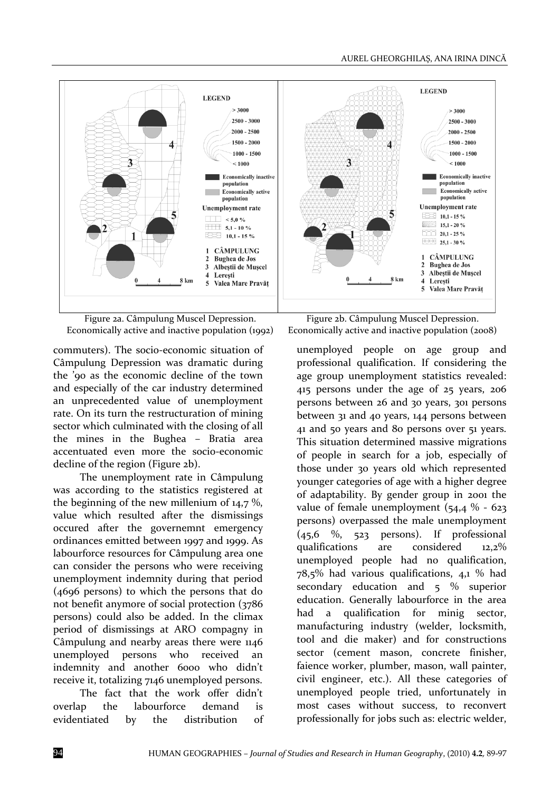

Figure 2a. Câmpulung Muscel Depression. Economically active and inactive population (1992)

commuters). The socio-economic situation of Câmpulung Depression was dramatic during the '90 as the economic decline of the town and especially of the car industry determined an unprecedented value of unemployment rate. On its turn the restructuration of mining sector which culminated with the closing of all the mines in the Bughea – Bratia area accentuated even more the socio-economic decline of the region (Figure 2b).

The unemployment rate in Câmpulung was according to the statistics registered at the beginning of the new millenium of 14,7 %, value which resulted after the dismissings occured after the governemnt emergency ordinances emitted between 1997 and 1999. As labourforce resources for Câmpulung area one can consider the persons who were receiving unemployment indemnity during that period (4696 persons) to which the persons that do not benefit anymore of social protection (3786 persons) could also be added. In the climax period of dismissings at ARO compagny in Câmpulung and nearby areas there were 1146 unemployed persons who received an indemnity and another 6000 who didn't receive it, totalizing 7146 unemployed persons.

The fact that the work offer didn't overlap the labourforce demand is evidentiated by the distribution of

Figure 2b. Câmpulung Muscel Depression. Economically active and inactive population (2008)

unemployed people on age group and professional qualification. If considering the age group unemployment statistics revealed: 415 persons under the age of 25 years, 206 persons between 26 and 30 years, 301 persons between 31 and 40 years, 144 persons between 41 and 50 years and 80 persons over 51 years. This situation determined massive migrations of people in search for a job, especially of those under 30 years old which represented younger categories of age with a higher degree of adaptability. By gender group in 2001 the value of female unemployment  $(54, 4\% - 623)$ persons) overpassed the male unemployment (45,6 %, 523 persons). If professional qualifications are considered 12,2% unemployed people had no qualification, 78,5% had various qualifications, 4,1 % had secondary education and 5 % superior education. Generally labourforce in the area had a qualification for minig sector, manufacturing industry (welder, locksmith, tool and die maker) and for constructions sector (cement mason, concrete finisher, faience worker, plumber, mason, wall painter, civil engineer, etc.). All these categories of unemployed people tried, unfortunately in most cases without success, to reconvert professionally for jobs such as: electric welder,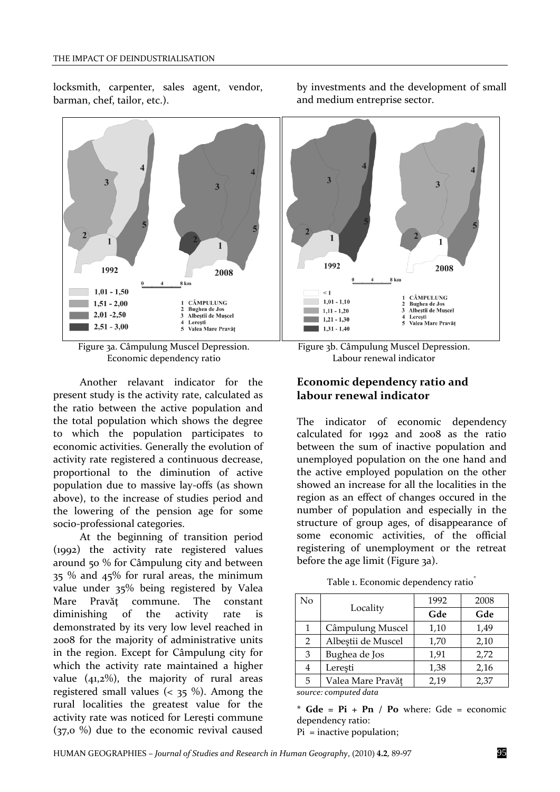locksmith, carpenter, sales agent, vendor, barman, chef, tailor, etc.).



Figure 3a. Câmpulung Muscel Depression. Economic dependency ratio

Another relavant indicator for the present study is the activity rate, calculated as the ratio between the active population and the total population which shows the degree to which the population participates to economic activities. Generally the evolution of activity rate registered a continuous decrease, proportional to the diminution of active population due to massive lay-offs (as shown above), to the increase of studies period and the lowering of the pension age for some socio-professional categories.

At the beginning of transition period (1992) the activity rate registered values around 50 % for Câmpulung city and between 35 % and 45% for rural areas, the minimum value under 35% being registered by Valea Mare Pravăţ commune. The constant diminishing of the activity rate is demonstrated by its very low level reached in 2008 for the majority of administrative units in the region. Except for Câmpulung city for which the activity rate maintained a higher value  $(41,2\%)$ , the majority of rural areas registered small values ( $\lt$  35 %). Among the rural localities the greatest value for the activity rate was noticed for Lereşti commune (37,0 %) due to the economic revival caused

by investments and the development of small and medium entreprise sector.

Figure 3b. Câmpulung Muscel Depression. Labour renewal indicator

### **Economic dependency ratio and labour renewal indicator**

The indicator of economic dependency calculated for 1992 and 2008 as the ratio between the sum of inactive population and unemployed population on the one hand and the active employed population on the other showed an increase for all the localities in the region as an effect of changes occured in the number of population and especially in the structure of group ages, of disappearance of some economic activities, of the official registering of unemployment or the retreat before the age limit (Figure 3a).

Table 1. Economic dependency ratio<sup>\*</sup>

| No                      |                    | 1992 | 2008 |  |
|-------------------------|--------------------|------|------|--|
|                         | Locality           | Gde  | Gde  |  |
| 1                       | Câmpulung Muscel   | 1,10 | 1,49 |  |
| $\overline{2}$          | Albeștii de Muscel | 1,70 | 2,10 |  |
| 3                       | Bughea de Jos      | 1,91 | 2,72 |  |
| 4                       | Lerești            | 1,38 | 2,16 |  |
| 5                       | Valea Mare Pravăț  | 2,19 | 2,37 |  |
| aayyaay aamayyitad data |                    |      |      |  |

*source: computed data*

**\* Gde = Pi + Pn / Po** where: Gde = economic dependency ratio:

Pi = inactive population;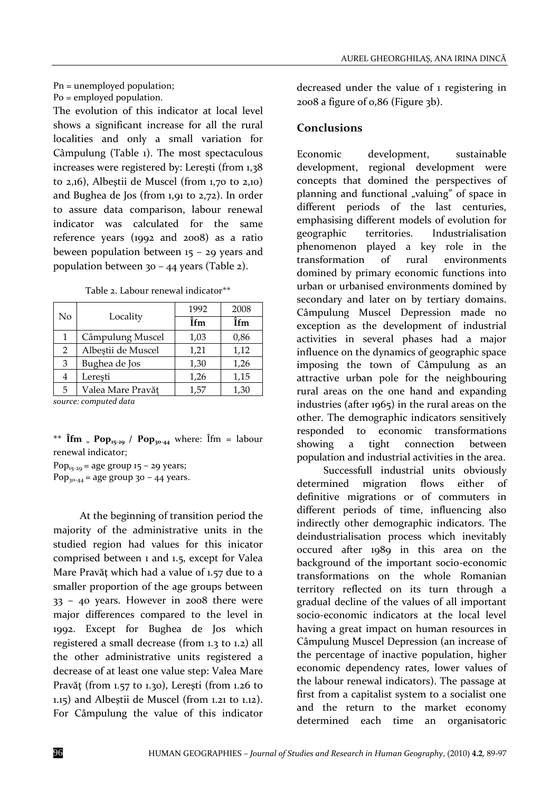# Pn = unemployed population;

Po = employed population.

The evolution of this indicator at local level shows a significant increase for all the rural localities and only a small variation for Câmpulung (Table 1). The most spectaculous increases were registered by: Lereşti (from 1,38 to 2,16), Albeştii de Muscel (from 1,70 to 2,10) and Bughea de Jos (from 1,91 to 2,72). In order to assure data comparison, labour renewal indicator was calculated for the same reference years (1992 and 2008) as a ratio beween population between  $15 - 29$  years and population between 30 – 44 years (Table 2).

Table 2. Labour renewal indicator\*\*

| No | Locality           | 1992 | 2008 |
|----|--------------------|------|------|
|    |                    | Îfm  | Îfm  |
| 1  | Câmpulung Muscel   | 1,03 | 0,86 |
| 2  | Albeștii de Muscel | 1,21 | 1,12 |
| 3  | Bughea de Jos      | 1,30 | 1,26 |
| 4  | Lerești            | 1,26 | 1,15 |
| 5  | Valea Mare Pravăț  | 1,57 | 1,30 |
|    | $\cdots$ $\cdots$  |      |      |

*source: computed data*

\*\*  $\lim_{x \to \infty} P_{0} p_{15-29}$  /  $P_{0} p_{30-44}$  where:  $\lim_{x \to \infty} P_{15-1} p_{15-1}$ renewal indicator;

Pop<sub>15-29</sub> = age group  $15 - 29$  years; Pop<sub>30-44</sub> = age group 30 - 44 years.

At the beginning of transition period the majority of the administrative units in the studied region had values for this inicator comprised between 1 and 1.5, except for Valea Mare Pravăt which had a value of 1.57 due to a smaller proportion of the age groups between 33 – 40 years. However in 2008 there were major differences compared to the level in 1992. Except for Bughea de Jos which registered a small decrease (from 1.3 to 1.2) all the other administrative units registered a decrease of at least one value step: Valea Mare Pravăţ (from 1.57 to 1.30), Lereşti (from 1.26 to 1.15) and Albeştii de Muscel (from 1.21 to 1.12). For Câmpulung the value of this indicator

decreased under the value of 1 registering in 2008 a figure of 0,86 (Figure 3b).

#### **Conclusions**

Economic development, sustainable development, regional development were concepts that domined the perspectives of planning and functional "valuing" of space in different periods of the last centuries, emphasising different models of evolution for geographic territories. Industrialisation phenomenon played a key role in the transformation of rural environments domined by primary economic functions into urban or urbanised environments domined by secondary and later on by tertiary domains. Câmpulung Muscel Depression made no exception as the development of industrial activities in several phases had a major influence on the dynamics of geographic space imposing the town of Câmpulung as an attractive urban pole for the neighbouring rural areas on the one hand and expanding industries (after 1965) in the rural areas on the other. The demographic indicators sensitively responded to economic transformations showing a tight connection between population and industrial activities in the area.

Successfull industrial units obviously determined migration flows either of definitive migrations or of commuters in different periods of time, influencing also indirectly other demographic indicators. The deindustrialisation process which inevitably occured after 1989 in this area on the background of the important socio-economic transformations on the whole Romanian territory reflected on its turn through a gradual decline of the values of all important socio-economic indicators at the local level having a great impact on human resources in Câmpulung Muscel Depression (an increase of the percentage of inactive population, higher economic dependency rates, lower values of the labour renewal indicators). The passage at first from a capitalist system to a socialist one and the return to the market economy determined each time an organisatoric